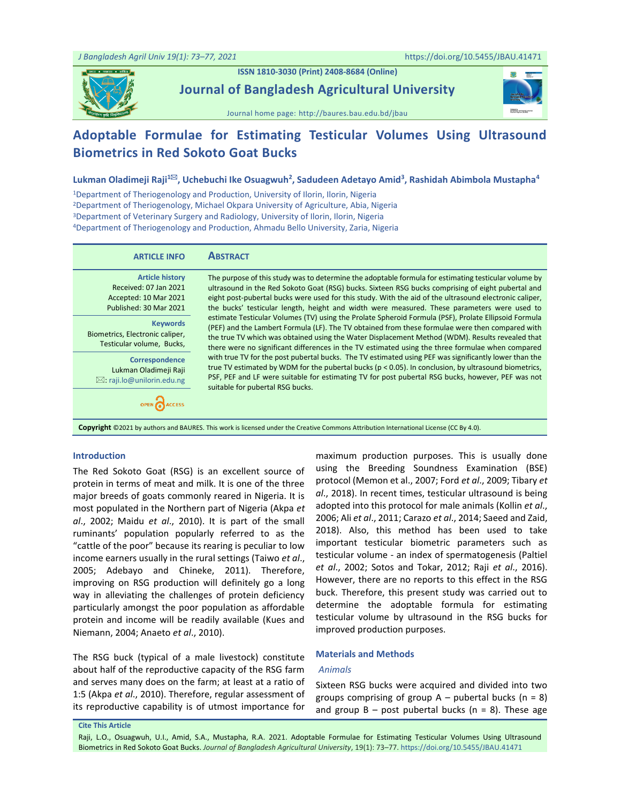**ISSN 1810-3030 (Print) 2408-8684 (Online)**

**Journal of Bangladesh Agricultural University**





# **Adoptable Formulae for Estimating Testicular Volumes Using Ultrasound Biometrics in Red Sokoto Goat Bucks**

## **Lukman Oladimeji Raji<sup>1</sup>, Uchebuchi Ike Osuagwuh<sup>2</sup> , Sadudeen Adetayo Amid<sup>3</sup> , Rashidah Abimbola Mustapha<sup>4</sup>**

Department of Theriogenology and Production, University of Ilorin, Ilorin, Nigeria Department of Theriogenology, Michael Okpara University of Agriculture, Abia, Nigeria Department of Veterinary Surgery and Radiology, University of Ilorin, Ilorin, Nigeria Department of Theriogenology and Production, Ahmadu Bello University, Zaria, Nigeria

| <b>ARTICLE INFO</b>                                                                                | <b>ABSTRACT</b>                                                                                                                                                                                                                                                                                                                                                                                                    |
|----------------------------------------------------------------------------------------------------|--------------------------------------------------------------------------------------------------------------------------------------------------------------------------------------------------------------------------------------------------------------------------------------------------------------------------------------------------------------------------------------------------------------------|
| <b>Article history</b><br>Received: 07 Jan 2021<br>Accepted: 10 Mar 2021<br>Published: 30 Mar 2021 | The purpose of this study was to determine the adoptable formula for estimating testicular volume by<br>ultrasound in the Red Sokoto Goat (RSG) bucks. Sixteen RSG bucks comprising of eight pubertal and<br>eight post-pubertal bucks were used for this study. With the aid of the ultrasound electronic caliper,<br>the bucks' testicular length, height and width were measured. These parameters were used to |
| <b>Keywords</b><br>Biometrics, Electronic caliper,<br>Testicular volume, Bucks,                    | estimate Testicular Volumes (TV) using the Prolate Spheroid Formula (PSF), Prolate Ellipsoid Formula<br>(PEF) and the Lambert Formula (LF). The TV obtained from these formulae were then compared with<br>the true TV which was obtained using the Water Displacement Method (WDM). Results revealed that<br>there were no significant differences in the TV estimated using the three formulae when compared     |
| Correspondence<br>Lukman Oladimeji Raji<br>$\boxtimes$ : raji.lo@unilorin.edu.ng                   | with true TV for the post pubertal bucks. The TV estimated using PEF was significantly lower than the<br>true TV estimated by WDM for the pubertal bucks ( $p < 0.05$ ). In conclusion, by ultrasound biometrics,<br>PSF, PEF and LF were suitable for estimating TV for post pubertal RSG bucks, however, PEF was not<br>suitable for pubertal RSG bucks.                                                         |
|                                                                                                    | <b>Copyright</b> ©2021 by authors and BAURES. This work is licensed under the Creative Commons Attribution International License (CC By 4.0).                                                                                                                                                                                                                                                                      |

#### **Introduction**

The Red Sokoto Goat (RSG) is an excellent source of protein in terms of meat and milk. It is one of the three major breeds of goats commonly reared in Nigeria. It is most populated in the Northern part of Nigeria (Akpa *et al*., 2002; Maidu *et al*., 2010). It is part of the small ruminants' population popularly referred to as the "cattle of the poor" because its rearing is peculiar to low income earners usually in the rural settings (Taiwo *et al*., 2005; Adebayo and Chineke, 2011). Therefore, improving on RSG production will definitely go a long way in alleviating the challenges of protein deficiency particularly amongst the poor population as affordable protein and income will be readily available (Kues and Niemann, 2004; Anaeto *et al*., 2010).

The RSG buck (typical of a male livestock) constitute about half of the reproductive capacity of the RSG farm and serves many does on the farm; at least at a ratio of 1:5 (Akpa *et al*., 2010). Therefore, regular assessment of its reproductive capability is of utmost importance for

maximum production purposes. This is usually done using the Breeding Soundness Examination (BSE) protocol (Memon et al., 2007; Ford *et al*., 2009; Tibary *et al*., 2018). In recent times, testicular ultrasound is being adopted into this protocol for male animals (Kollin *et al*., 2006; Ali *et al*., 2011; Carazo *et al*., 2014; Saeed and Zaid, 2018). Also, this method has been used to take important testicular biometric parameters such as testicular volume - an index of spermatogenesis (Paltiel *et al*., 2002; Sotos and Tokar, 2012; Raji *et al*., 2016). However, there are no reports to this effect in the RSG buck. Therefore, this present study was carried out to determine the adoptable formula for estimating testicular volume by ultrasound in the RSG bucks for improved production purposes.

#### **Materials and Methods**

## *Animals*

Sixteen RSG bucks were acquired and divided into two groups comprising of group  $A$  – pubertal bucks (n = 8) and group  $B - post$  pubertal bucks (n = 8). These age

**Cite This Article**

Raji, L.O., Osuagwuh, U.I., Amid, S.A., Mustapha, R.A. 2021. Adoptable Formulae for Estimating Testicular Volumes Using Ultrasound Biometrics in Red Sokoto Goat Bucks. *Journal of Bangladesh Agricultural University*, 19(1): 73–77. <https://doi.org/10.5455/JBAU.41471>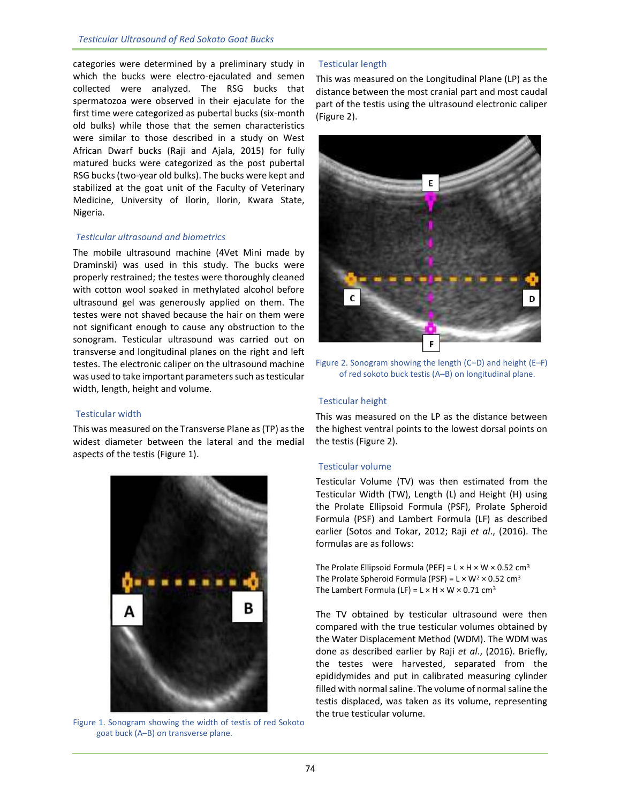categories were determined by a preliminary study in which the bucks were electro-ejaculated and semen collected were analyzed. The RSG bucks that spermatozoa were observed in their ejaculate for the first time were categorized as pubertal bucks (six-month old bulks) while those that the semen characteristics were similar to those described in a study on West African Dwarf bucks (Raji and Ajala, 2015) for fully matured bucks were categorized as the post pubertal RSG bucks (two-year old bulks). The bucks were kept and stabilized at the goat unit of the Faculty of Veterinary Medicine, University of Ilorin, Ilorin, Kwara State, Nigeria.

# *Testicular ultrasound and biometrics*

The mobile ultrasound machine (4Vet Mini made by Draminski) was used in this study. The bucks were properly restrained; the testes were thoroughly cleaned with cotton wool soaked in methylated alcohol before ultrasound gel was generously applied on them. The testes were not shaved because the hair on them were not significant enough to cause any obstruction to the sonogram. Testicular ultrasound was carried out on transverse and longitudinal planes on the right and left testes. The electronic caliper on the ultrasound machine was used to take important parameters such as testicular width, length, height and volume.

## Testicular width

This was measured on the Transverse Plane as (TP) as the widest diameter between the lateral and the medial aspects of the testis (Figure 1).



Figure 1. Sonogram showing the width of testis of red Sokoto goat buck (A–B) on transverse plane.

# Testicular length

This was measured on the Longitudinal Plane (LP) as the distance between the most cranial part and most caudal part of the testis using the ultrasound electronic caliper (Figure 2).



Figure 2. Sonogram showing the length (C–D) and height (E–F) of red sokoto buck testis (A–B) on longitudinal plane.

# Testicular height

This was measured on the LP as the distance between the highest ventral points to the lowest dorsal points on the testis (Figure 2).

## Testicular volume

Testicular Volume (TV) was then estimated from the Testicular Width (TW), Length (L) and Height (H) using the Prolate Ellipsoid Formula (PSF), Prolate Spheroid Formula (PSF) and Lambert Formula (LF) as described earlier (Sotos and Tokar, 2012; Raji *et al*., (2016). The formulas are as follows:

The Prolate Ellipsoid Formula (PEF) =  $L \times H \times W \times 0.52$  cm<sup>3</sup> The Prolate Spheroid Formula (PSF) =  $L \times W^2 \times 0.52$  cm<sup>3</sup> The Lambert Formula (LF) =  $L \times H \times W \times 0.71$  cm<sup>3</sup>

The TV obtained by testicular ultrasound were then compared with the true testicular volumes obtained by the Water Displacement Method (WDM). The WDM was done as described earlier by Raji *et al*., (2016). Briefly, the testes were harvested, separated from the epididymides and put in calibrated measuring cylinder filled with normal saline. The volume of normal saline the testis displaced, was taken as its volume, representing the true testicular volume.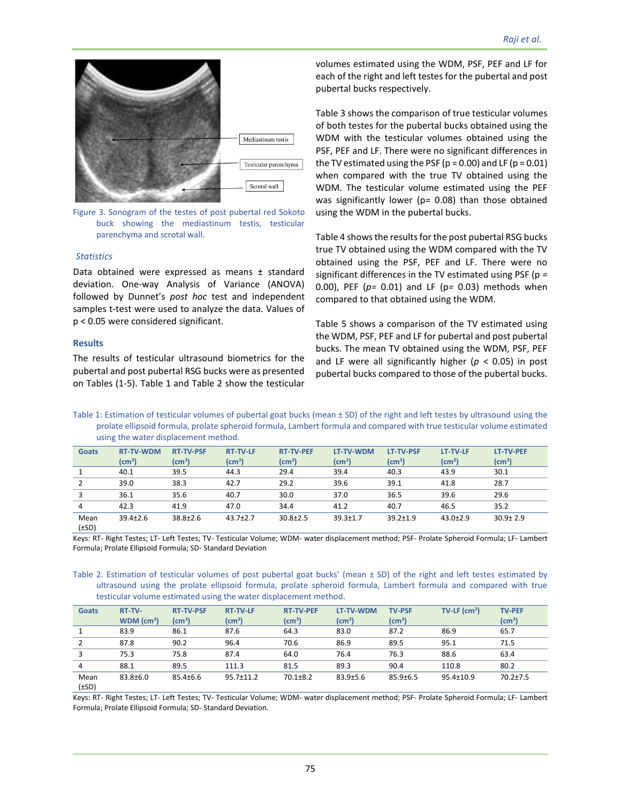

Figure 3. Sonogram of the testes of post pubertal red Sokoto buck showing the mediastinum testis, testicular parenchyma and scrotal wall.

#### *Statistics*

Data obtained were expressed as means ± standard deviation. One-way Analysis of Variance (ANOVA) followed by Dunnet's *post hoc* test and independent samples t-test were used to analyze the data. Values of p < 0.05 were considered significant.

#### **Results**

The results of testicular ultrasound biometrics for the pubertal and post pubertal RSG bucks were as presented on Tables (1-5). Table 1 and Table 2 show the testicular volumes estimated using the WDM, PSF, PEF and LF for each of the right and left testes for the pubertal and post pubertal bucks respectively.

Table 3 shows the comparison of true testicular volumes of both testes for the pubertal bucks obtained using the WDM with the testicular volumes obtained using the PSF, PEF and LF. There were no significant differences in the TV estimated using the PSF ( $p = 0.00$ ) and LF ( $p = 0.01$ ) when compared with the true TV obtained using the WDM. The testicular volume estimated using the PEF was significantly lower (p*=* 0.08) than those obtained using the WDM in the pubertal bucks.

Table 4 shows the results for the post pubertal RSG bucks true TV obtained using the WDM compared with the TV obtained using the PSF, PEF and LF. There were no significant differences in the TV estimated using PSF (p *=*  0.00), PEF (*p=* 0.01) and LF (p*=* 0.03) methods when compared to that obtained using the WDM.

Table 5 shows a comparison of the TV estimated using the WDM, PSF, PEF and LF for pubertal and post pubertal bucks. The mean TV obtained using the WDM, PSF, PEF and LF were all significantly higher (*p* < 0.05) in post pubertal bucks compared to those of the pubertal bucks.

Table 1: Estimation of testicular volumes of pubertal goat bucks (mean ± SD) of the right and left testes by ultrasound using the prolate ellipsoid formula, prolate spheroid formula, Lambert formula and compared with true testicular volume estimated using the water displacement method.

| <b>Goats</b>       | <b>RT-TV-WDM</b>           | <b>RT-TV-PSF</b> | <b>RT-TV-LF</b>            | <b>RT-TV-PEF</b>  | LT-TV-WDM          | <b>LT-TV-PSF</b>  | LT-TV-LF          | <b>LT-TV-PEF</b>   |
|--------------------|----------------------------|------------------|----------------------------|-------------------|--------------------|-------------------|-------------------|--------------------|
|                    | $\textsf{(cm}^3\textsf{)}$ | (cm $^3$ )       | $\textsf{(cm}^3\textsf{)}$ | $\textsf{(cm}^3)$ | (cm <sup>3</sup> ) | $\textsf{(cm}^3)$ | $\textsf{(cm}^3)$ | (cm <sup>3</sup> ) |
|                    | 40.1                       | 39.5             | 44.3                       | 29.4              | 39.4               | 40.3              | 43.9              | 30.1               |
|                    | 39.0                       | 38.3             | 42.7                       | 29.2              | 39.6               | 39.1              | 41.8              | 28.7               |
| 3                  | 36.1                       | 35.6             | 40.7                       | 30.0              | 37.0               | 36.5              | 39.6              | 29.6               |
| 4                  | 42.3                       | 41.9             | 47.0                       | 34.4              | 41.2               | 40.7              | 46.5              | 35.2               |
| Mean<br>$(\pm SD)$ | $39.4 \pm 2.6$             | $38.8 \pm 2.6$   | $43.7 \pm 2.7$             | $30.8 \pm 2.5$    | $39.3 \pm 1.7$     | $39.2 \pm 1.9$    | $43.0 \pm 2.9$    | $30.9 \pm 2.9$     |

Keys: RT- Right Testes; LT- Left Testes; TV- Testicular Volume; WDM- water displacement method; PSF- Prolate Spheroid Formula; LF- Lambert Formula; Prolate Ellipsoid Formula; SD- Standard Deviation

Table 2. Estimation of testicular volumes of post pubertal goat bucks' (mean ± SD) of the right and left testes estimated by ultrasound using the prolate ellipsoid formula, prolate spheroid formula, Lambert formula and compared with true testicular volume estimated using the water displacement method.

| <b>Goats</b>  | RT-TV-                   | <b>RT-TV-PSF</b> | <b>RT-TV-LF</b>        | <b>RT-TV-PEF</b> | LT-TV-WDM                  | <b>TV-PSF</b>     | $TV-LF$ (cm <sup>3</sup> ) | <b>TV-PEF</b>     |
|---------------|--------------------------|------------------|------------------------|------------------|----------------------------|-------------------|----------------------------|-------------------|
|               | $WDM$ (cm <sup>3</sup> ) | (cm $^3$ )       | $\text{(cm}^3\text{)}$ | (cm $^3)$        | $\textsf{(cm}^3\textsf{)}$ | $\textsf{(cm}^3)$ |                            | $\textsf{(cm}^3)$ |
|               | 83.9                     | 86.1             | 87.6                   | 64.3             | 83.0                       | 87.2              | 86.9                       | 65.7              |
| 2             | 87.8                     | 90.2             | 96.4                   | 70.6             | 86.9                       | 89.5              | 95.1                       | 71.5              |
| 3             | 75.3                     | 75.8             | 87.4                   | 64.0             | 76.4                       | 76.3              | 88.6                       | 63.4              |
| 4             | 88.1                     | 89.5             | 111.3                  | 81.5             | 89.3                       | 90.4              | 110.8                      | 80.2              |
| Mean<br>I:CDY | $83.8 \pm 6.0$           | $85.4 \pm 6.6$   | $95.7 \pm 11.2$        | $70.1 \pm 8.2$   | $83.9 \pm 5.6$             | $85.9 \pm 6.5$    | $95.4 \pm 10.9$            | $70.2 \pm 7.5$    |

(±SD)

Keys: RT- Right Testes; LT- Left Testes; TV- Testicular Volume; WDM- water displacement method; PSF- Prolate Spheroid Formula; LF- Lambert Formula; Prolate Ellipsoid Formula; SD- Standard Deviation.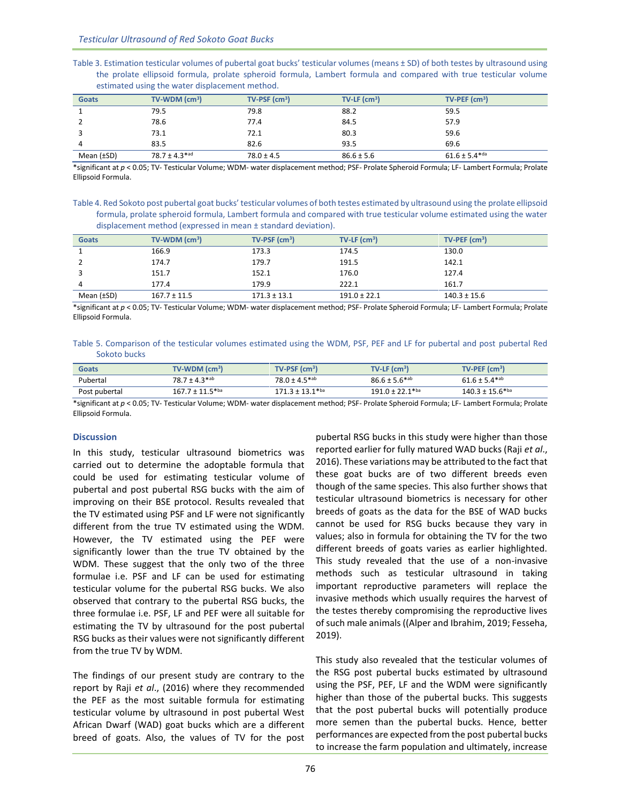|                                                | Table 3. Estimation testicular volumes of pubertal goat bucks' testicular volumes (means ± SD) of both testes by ultrasound using |
|------------------------------------------------|-----------------------------------------------------------------------------------------------------------------------------------|
|                                                | the prolate ellipsoid formula, prolate spheroid formula, Lambert formula and compared with true testicular volume                 |
| estimated using the water displacement method. |                                                                                                                                   |

| <b>Goats</b>    | $TV-WDM$ (cm <sup>3</sup> )   | $TV-PSF$ (cm <sup>3</sup> ) | $TV-LF$ (cm <sup>3</sup> ) | $TV-PEF$ (cm <sup>3</sup> )   |
|-----------------|-------------------------------|-----------------------------|----------------------------|-------------------------------|
|                 | 79.5                          | 79.8                        | 88.2                       | 59.5                          |
|                 | 78.6                          | 77.4                        | 84.5                       | 57.9                          |
|                 | 73.1                          | 72.1                        | 80.3                       | 59.6                          |
| 4               | 83.5                          | 82.6                        | 93.5                       | 69.6                          |
| Mean $(\pm SD)$ | $78.7 \pm 4.3$ <sup>*ad</sup> | $78.0 \pm 4.5$              | $86.6 \pm 5.6$             | $61.6 \pm 5.4$ <sup>*da</sup> |

\*significant at *p* < 0.05; TV- Testicular Volume; WDM- water displacement method; PSF- Prolate Spheroid Formula; LF- Lambert Formula; Prolate Ellipsoid Formula.

Table 4. Red Sokoto post pubertal goat bucks' testicular volumes of both testes estimated by ultrasound using the prolate ellipsoid formula, prolate spheroid formula, Lambert formula and compared with true testicular volume estimated using the water displacement method (expressed in mean ± standard deviation).

| <b>Goats</b>    | $TV-WDM$ (cm <sup>3</sup> ) | $TV-PSF$ (cm <sup>3</sup> ) | $TV-LF$ (cm <sup>3</sup> ) | $TV-PEF$ (cm <sup>3</sup> ) |
|-----------------|-----------------------------|-----------------------------|----------------------------|-----------------------------|
|                 | 166.9                       | 173.3                       | 174.5                      | 130.0                       |
|                 | 174.7                       | 179.7                       | 191.5                      | 142.1                       |
|                 | 151.7                       | 152.1                       | 176.0                      | 127.4                       |
| 4               | 177.4                       | 179.9                       | 222.1                      | 161.7                       |
| Mean $(\pm SD)$ | $167.7 \pm 11.5$            | $171.3 \pm 13.1$            | $191.0 \pm 22.1$           | $140.3 \pm 15.6$            |

\*significant at *p* < 0.05; TV- Testicular Volume; WDM- water displacement method; PSF- Prolate Spheroid Formula; LF- Lambert Formula; Prolate Ellipsoid Formula.

Table 5. Comparison of the testicular volumes estimated using the WDM, PSF, PEF and LF for pubertal and post pubertal Red Sokoto bucks

| <b>Goats</b>  | $TV-WDM$ (cm <sup>3</sup> )     | $TV-PSF$ (cm <sup>3</sup> )   | $TV-LF$ (cm <sup>3</sup> )      | $TV-PEF$ (cm <sup>3</sup> )     |
|---------------|---------------------------------|-------------------------------|---------------------------------|---------------------------------|
| Pubertal      | $78.7 \pm 4.3$ <sup>*ab</sup>   | $78.0 \pm 4.5$ <sup>*ab</sup> | $86.6 \pm 5.6$ *ab              | $61.6 \pm 5.4$ <sup>*ab</sup>   |
| Post pubertal | $167.7 \pm 11.5$ <sup>*ba</sup> | $171.3 + 13.1$ <sup>*ba</sup> | $191.0 \pm 22.1$ <sup>*ba</sup> | $140.3 \pm 15.6$ <sup>*ba</sup> |

\*significant at *p* < 0.05; TV- Testicular Volume; WDM- water displacement method; PSF- Prolate Spheroid Formula; LF- Lambert Formula; Prolate Ellipsoid Formula.

## **Discussion**

In this study, testicular ultrasound biometrics was carried out to determine the adoptable formula that could be used for estimating testicular volume of pubertal and post pubertal RSG bucks with the aim of improving on their BSE protocol. Results revealed that the TV estimated using PSF and LF were not significantly different from the true TV estimated using the WDM. However, the TV estimated using the PEF were significantly lower than the true TV obtained by the WDM. These suggest that the only two of the three formulae i.e. PSF and LF can be used for estimating testicular volume for the pubertal RSG bucks. We also observed that contrary to the pubertal RSG bucks, the three formulae i.e. PSF, LF and PEF were all suitable for estimating the TV by ultrasound for the post pubertal RSG bucks as their values were not significantly different from the true TV by WDM.

The findings of our present study are contrary to the report by Raji *et al*., (2016) where they recommended the PEF as the most suitable formula for estimating testicular volume by ultrasound in post pubertal West African Dwarf (WAD) goat bucks which are a different breed of goats. Also, the values of TV for the post

pubertal RSG bucks in this study were higher than those reported earlier for fully matured WAD bucks (Raji *et al*., 2016). These variations may be attributed to the fact that these goat bucks are of two different breeds even though of the same species. This also further shows that testicular ultrasound biometrics is necessary for other breeds of goats as the data for the BSE of WAD bucks cannot be used for RSG bucks because they vary in values; also in formula for obtaining the TV for the two different breeds of goats varies as earlier highlighted. This study revealed that the use of a non-invasive methods such as testicular ultrasound in taking important reproductive parameters will replace the invasive methods which usually requires the harvest of the testes thereby compromising the reproductive lives ofsuch male animals ((Alper and Ibrahim, 2019; Fesseha, 2019).

This study also revealed that the testicular volumes of the RSG post pubertal bucks estimated by ultrasound using the PSF, PEF, LF and the WDM were significantly higher than those of the pubertal bucks. This suggests that the post pubertal bucks will potentially produce more semen than the pubertal bucks. Hence, better performances are expected from the post pubertal bucks to increase the farm population and ultimately, increase